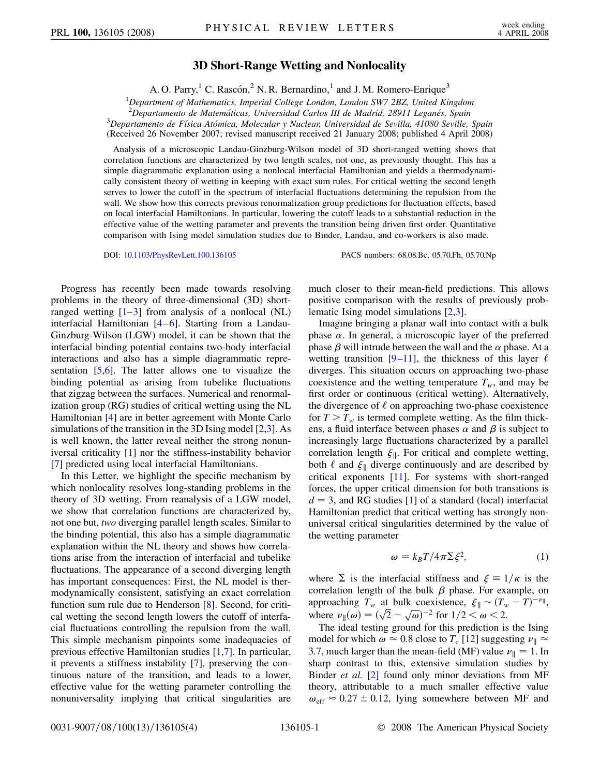## **3D Short-Range Wetting and Nonlocality**

A. O. Parry,<sup>1</sup> C. Rascón,<sup>2</sup> N. R. Bernardino,<sup>1</sup> and J. M. Romero-Enrique<sup>3</sup>

1 *Department of Mathematics, Imperial College London, London SW7 2BZ, United Kingdom*

<sup>2</sup> Departamento de Matemáticas, Universidad Carlos III de Madrid, 28911 Leganés, Spain<br><sup>3</sup> Departamento de Eísica Atómica, Molecular y Nuclear Universidad de Savilla, 41080 Savilla

*Departamento de Fı´sica Ato´mica, Molecular y Nuclear, Universidad de Sevilla, 41080 Seville, Spain* (Received 26 November 2007; revised manuscript received 21 January 2008; published 4 April 2008)

Analysis of a microscopic Landau-Ginzburg-Wilson model of 3D short-ranged wetting shows that correlation functions are characterized by two length scales, not one, as previously thought. This has a simple diagrammatic explanation using a nonlocal interfacial Hamiltonian and yields a thermodynamically consistent theory of wetting in keeping with exact sum rules. For critical wetting the second length serves to lower the cutoff in the spectrum of interfacial fluctuations determining the repulsion from the wall. We show how this corrects previous renormalization group predictions for fluctuation effects, based on local interfacial Hamiltonians. In particular, lowering the cutoff leads to a substantial reduction in the effective value of the wetting parameter and prevents the transition being driven first order. Quantitative comparison with Ising model simulation studies due to Binder, Landau, and co-workers is also made.

DOI: [10.1103/PhysRevLett.100.136105](http://dx.doi.org/10.1103/PhysRevLett.100.136105) PACS numbers: 68.08.Bc, 05.70.Fh, 05.70.Np

Progress has recently been made towards resolving problems in the theory of three-dimensional (3D) shortranged wetting  $[1-3]$  $[1-3]$  $[1-3]$  from analysis of a nonlocal (NL) interfacial Hamiltonian [\[4](#page-3-2)–[6](#page-3-3)]. Starting from a Landau-Ginzburg-Wilson (LGW) model, it can be shown that the interfacial binding potential contains two-body interfacial interactions and also has a simple diagrammatic representation  $[5,6]$  $[5,6]$  $[5,6]$  $[5,6]$ . The latter allows one to visualize the binding potential as arising from tubelike fluctuations that zigzag between the surfaces. Numerical and renormalization group (RG) studies of critical wetting using the NL Hamiltonian [[4\]](#page-3-2) are in better agreement with Monte Carlo simulations of the transition in the 3D Ising model [\[2,](#page-3-5)[3](#page-3-1)]. As is well known, the latter reveal neither the strong nonuniversal criticality [[1\]](#page-3-0) nor the stiffness-instability behavior [\[7\]](#page-3-6) predicted using local interfacial Hamiltonians.

In this Letter, we highlight the specific mechanism by which nonlocality resolves long-standing problems in the theory of 3D wetting. From reanalysis of a LGW model, we show that correlation functions are characterized by, not one but, *two* diverging parallel length scales. Similar to the binding potential, this also has a simple diagrammatic explanation within the NL theory and shows how correlations arise from the interaction of interfacial and tubelike fluctuations. The appearance of a second diverging length has important consequences: First, the NL model is thermodynamically consistent, satisfying an exact correlation function sum rule due to Henderson [[8\]](#page-3-7). Second, for critical wetting the second length lowers the cutoff of interfacial fluctuations controlling the repulsion from the wall. This simple mechanism pinpoints some inadequacies of previous effective Hamiltonian studies [[1,](#page-3-0)[7\]](#page-3-6). In particular, it prevents a stiffness instability [[7](#page-3-6)], preserving the continuous nature of the transition, and leads to a lower, effective value for the wetting parameter controlling the nonuniversality implying that critical singularities are much closer to their mean-field predictions. This allows positive comparison with the results of previously problematic Ising model simulations [\[2](#page-3-5),[3](#page-3-1)].

Imagine bringing a planar wall into contact with a bulk phase  $\alpha$ . In general, a microscopic layer of the preferred phase  $\beta$  will intrude between the wall and the  $\alpha$  phase. At a wetting transition  $[9-11]$  $[9-11]$  $[9-11]$ , the thickness of this layer  $\ell$ diverges. This situation occurs on approaching two-phase coexistence and the wetting temperature  $T_w$ , and may be first order or continuous (critical wetting). Alternatively, the divergence of  $\ell$  on approaching two-phase coexistence for  $T>T_w$  is termed complete wetting. As the film thickens, a fluid interface between phases  $\alpha$  and  $\beta$  is subject to increasingly large fluctuations characterized by a parallel correlation length  $\xi_{\parallel}$ . For critical and complete wetting, both  $\ell$  and  $\xi_{\parallel}$  diverge continuously and are described by critical exponents [[11\]](#page-3-9). For systems with short-ranged forces, the upper critical dimension for both transitions is  $d = 3$ , and RG studies [\[1\]](#page-3-0) of a standard (local) interfacial Hamiltonian predict that critical wetting has strongly nonuniversal critical singularities determined by the value of the wetting parameter

$$
\omega = k_B T / 4\pi \Sigma \xi^2,\tag{1}
$$

where  $\Sigma$  is the interfacial stiffness and  $\xi = 1/\kappa$  is the correlation length of the bulk  $\beta$  phase. For example, on approaching  $T_w$  at bulk coexistence,  $\xi_{\parallel} \sim (T_w - T)^{-\nu_{\parallel}},$ approaching  $I_w$  at buik coexistence,  $\mathcal{E} \parallel \infty$  ( $I_w$ )<br>where  $\nu_{\parallel}(\omega) = (\sqrt{2} - \sqrt{\omega})^{-2}$  for  $1/2 < \omega < 2$ .

The ideal testing ground for this prediction is the Ising model for which  $\omega \approx 0.8$  close to  $T_c$  [[12](#page-3-10)] suggesting  $\nu_{\parallel} \approx$ 3.7, much larger than the mean-field (MF) value  $\nu_{\parallel} = 1$ . In sharp contrast to this, extensive simulation studies by Binder *et al.* [\[2\]](#page-3-5) found only minor deviations from MF theory, attributable to a much smaller effective value  $\omega_{\text{eff}} \approx 0.27 \pm 0.12$ , lying somewhere between MF and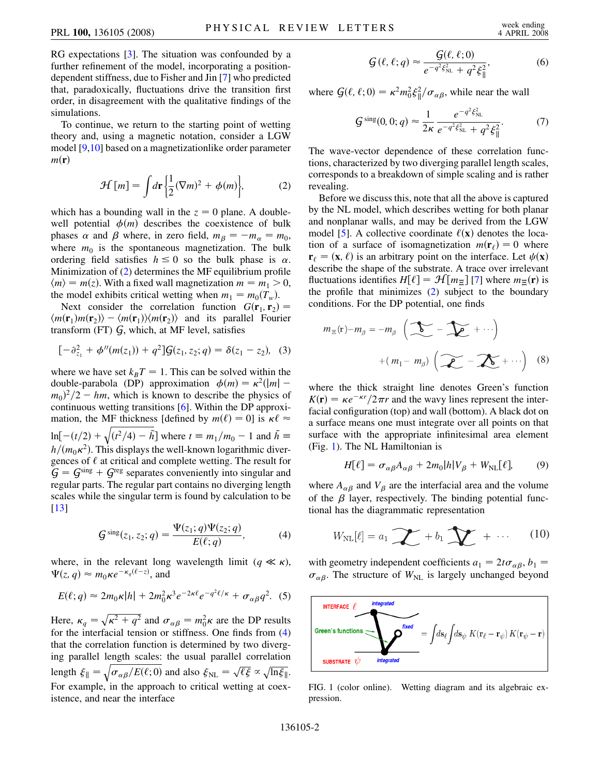RG expectations [[3](#page-3-1)]. The situation was confounded by a further refinement of the model, incorporating a positiondependent stiffness, due to Fisher and Jin [\[7](#page-3-6)] who predicted that, paradoxically, fluctuations drive the transition first order, in disagreement with the qualitative findings of the simulations.

<span id="page-1-0"></span>To continue, we return to the starting point of wetting theory and, using a magnetic notation, consider a LGW model [[9](#page-3-8),[10](#page-3-11)] based on a magnetizationlike order parameter  $m(\mathbf{r})$ 

$$
\mathcal{H}[m] = \int d\mathbf{r} \left\{ \frac{1}{2} (\nabla m)^2 + \phi(m) \right\},\tag{2}
$$

which has a bounding wall in the  $z = 0$  plane. A doublewell potential  $\phi(m)$  describes the coexistence of bulk phases  $\alpha$  and  $\beta$  where, in zero field,  $m_{\beta} = -m_{\alpha} = m_0$ , where  $m_0$  is the spontaneous magnetization. The bulk ordering field satisfies  $h \leq 0$  so the bulk phase is  $\alpha$ . Minimization of  $(2)$  $(2)$  determines the MF equilibrium profile  $\langle m \rangle = m(z)$ . With a fixed wall magnetization  $m = m_1 > 0$ , the model exhibits critical wetting when  $m_1 = m_0(T_w)$ .

Next consider the correlation function  $G(\mathbf{r}_1, \mathbf{r}_2)$  =  $\langle m(\mathbf{r}_1)m(\mathbf{r}_2)\rangle - \langle m(\mathbf{r}_1)\rangle \langle m(\mathbf{r}_2)\rangle$  and its parallel Fourier transform  $(FT)$   $G$ , which, at MF level, satisfies

$$
[-\partial_{z_1}^2 + \phi''(m(z_1)) + q^2]G(z_1, z_2; q) = \delta(z_1 - z_2), \quad (3)
$$

where we have set  $k_B T = 1$ . This can be solved within the double-parabola (DP) approximation  $\phi(m) = \kappa^2(|m| (m_0)^2/2 - hm$ , which is known to describe the physics of continuous wetting transitions [[6\]](#page-3-3). Within the DP approximation, the MF thickness [defined by  $m(\ell) = 0$ ] is  $\kappa \ell \approx$  $ln[-(t/2) +$  $\frac{1}{2}$   $\frac{1}{2}$   $\frac{1}{2}$   $\frac{1}{2}$   $\frac{1}{2}$   $\frac{1}{2}$  $\sqrt{(t^2/4) - \tilde{h}}$  where  $t \equiv m_1/m_0 - 1$  and  $\tilde{h} \equiv$  $h/(m_0\kappa^2)$ . This displays the well-known logarithmic divergences of  $\ell$  at critical and complete wetting. The result for  $G = G<sup>sing</sup> + G<sup>reg</sup>$  separates conveniently into singular and regular parts. The regular part contains no diverging length scales while the singular term is found by calculation to be [\[13\]](#page-3-12)

<span id="page-1-1"></span>
$$
G^{\rm sing}(z_1, z_2; q) = \frac{\Psi(z_1; q)\Psi(z_2; q)}{E(\ell; q)},
$$
 (4)

where, in the relevant long wavelength limit ( $q \ll \kappa$ ),  $\Psi(z, q) \approx m_0 \kappa e^{-\kappa_q(\ell - z)}$ , and

$$
E(\ell;q) \approx 2m_0 \kappa |h| + 2m_0^2 \kappa^3 e^{-2\kappa \ell} e^{-q^2 \ell/\kappa} + \sigma_{\alpha\beta} q^2. \tag{5}
$$

Here,  $\kappa_q = \sqrt{\kappa^2 + q^2}$  and  $\sigma_{\alpha\beta} = m_0^2 \kappa$  are the DP results for the interfacial tension or stiffness. One finds from [\(4\)](#page-1-1) that the correlation function is determined by two diverging parallel length scales: the usual parallel correlation length  $\xi_{\parallel}$  =  $\frac{1}{\sqrt{2}}$  $\sigma_{\alpha\beta}/E(\ell;0)$  $\sqrt{\sigma_{\alpha\beta}/E(\ell;0)}$  and also  $\xi_{\text{NL}} = \sqrt{\ell\xi} \propto \sqrt{\ln \xi_{\parallel}}$ . For example, in the approach to critical wetting at coexistence, and near the interface

$$
\mathcal{G}(\ell,\ell;q) \approx \frac{\mathcal{G}(\ell,\ell;0)}{e^{-q^2\xi_{\rm NL}^2} + q^2\xi_{\parallel}^2},\tag{6}
$$

<span id="page-1-4"></span><span id="page-1-3"></span>where  $G(\ell, \ell; 0) = \kappa^2 m_0^2 \xi_{\parallel}^2 / \sigma_{\alpha\beta}$ , while near the wall

$$
G^{\text{sing}}(0,0;q) \approx \frac{1}{2\kappa} \frac{e^{-q^2 \xi_{\text{NL}}^2}}{e^{-q^2 \xi_{\text{NL}}^2} + q^2 \xi_{\parallel}^2}.
$$
 (7)

The wave-vector dependence of these correlation functions, characterized by two diverging parallel length scales, corresponds to a breakdown of simple scaling and is rather revealing.

Before we discuss this, note that all the above is captured by the NL model, which describes wetting for both planar and nonplanar walls, and may be derived from the LGW model [\[5](#page-3-4)]. A collective coordinate  $\ell(x)$  denotes the location of a surface of isomagnetization  $m(\mathbf{r}) = 0$  where  $\mathbf{r}_\ell = (\mathbf{x}, \ell)$  is an arbitrary point on the interface. Let  $\psi(\mathbf{x})$ describe the shape of the substrate. A trace over irrelevant fluctuations identifies  $H[\ell] = \mathcal{H}[m_{\Xi}]$  [\[7](#page-3-6)] where  $m_{\Xi}(\mathbf{r})$  is the profile that minimizes  $(2)$  $(2)$  subject to the boundary conditions. For the DP potential, one finds

$$
m_{\Xi}(\mathbf{r})-m_{\beta} = -m_{\beta} \left( \sum_{\mathbf{r}} - \sum_{\mathbf{r}} + \cdots \right)
$$

$$
+ (m_1 - m_{\beta}) \left( \sum_{\mathbf{r}} - \sum_{\mathbf{r}} + \cdots \right) \quad (8)
$$

where the thick straight line denotes Green's function  $K(\mathbf{r}) = \kappa e^{-\kappa r}/2\pi r$  and the wavy lines represent the interfacial configuration (top) and wall (bottom). A black dot on a surface means one must integrate over all points on that surface with the appropriate infinitesimal area element (Fig. [1](#page-1-2)). The NL Hamiltonian is

$$
H[\ell] = \sigma_{\alpha\beta}A_{\alpha\beta} + 2m_0|h|V_{\beta} + W_{\text{NL}}[\ell],\tag{9}
$$

where  $A_{\alpha\beta}$  and  $V_{\beta}$  are the interfacial area and the volume of the  $\beta$  layer, respectively. The binding potential functional has the diagrammatic representation

$$
W_{\rm NL}[\ell] = a_1 \sum_{i=1}^{\infty} a_i + b_1 \sum_{i=1}^{\infty} a_i + \cdots \qquad (10)
$$

with geometry independent coefficients  $a_1 = 2t\sigma_{\alpha\beta}, b_1 =$  $\sigma_{\alpha\beta}$ . The structure of  $W_{NL}$  is largely unchanged beyond

<span id="page-1-2"></span>

FIG. 1 (color online). Wetting diagram and its algebraic expression.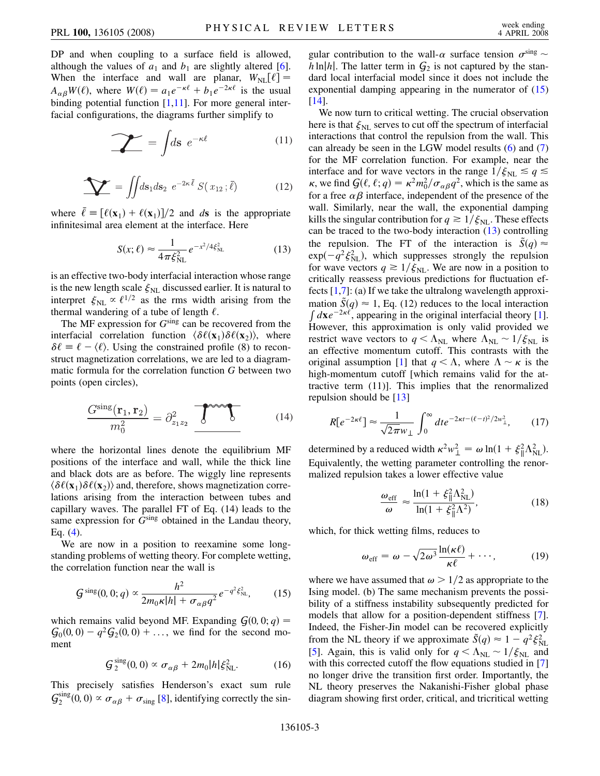DP and when coupling to a surface field is allowed, although the values of  $a_1$  and  $b_1$  are slightly altered [[6\]](#page-3-3). When the interface and wall are planar,  $W_{\text{NL}}[\ell] =$  $A_{\alpha\beta}W(\ell)$ , where  $W(\ell) = a_1e^{-\kappa \ell} + b_1e^{-2\kappa \ell}$  is the usual binding potential function  $[1,11]$  $[1,11]$  $[1,11]$ . For more general interfacial configurations, the diagrams further simplify to

$$
\sum_{n=1}^{\infty} = \int ds \ e^{-\kappa \ell} \tag{11}
$$

$$
\sum_{i} = \iint ds_1 ds_2 \ e^{-2\kappa \bar{\ell}} S(x_{12}; \bar{\ell}) \tag{12}
$$

<span id="page-2-1"></span>where  $\bar{\ell} \equiv [\ell(\mathbf{x}_1) + \ell(\mathbf{x}_1)]/2$  and *ds* is the appropriate infinitesimal area element at the interface. Here

$$
S(x; \ell) \approx \frac{1}{4\pi \xi_{\rm NL}^2} e^{-x^2/4\xi_{\rm NL}^2}
$$
 (13)

is an effective two-body interfacial interaction whose range is the new length scale  $\xi_{NL}$  discussed earlier. It is natural to interpret  $\xi_{NL} \propto \ell^{1/2}$  as the rms width arising from the thermal wandering of a tube of length  $\ell$ .

The MF expression for *G*sing can be recovered from the interfacial correlation function  $\langle \delta \ell(\mathbf{x}_1) \delta \ell(\mathbf{x}_2) \rangle$ , where  $\delta \ell = \ell - \langle \ell \rangle$ . Using the constrained profile (8) to reconstruct magnetization correlations, we are led to a diagrammatic formula for the correlation function *G* between two points (open circles),

$$
\frac{G^{\text{sing}}(\mathbf{r}_1, \mathbf{r}_2)}{m_0^2} = \partial_{z_1 z_2}^2 \underbrace{\mathbf{r}^{\text{even}} \mathbf{r}} \tag{14}
$$

where the horizontal lines denote the equilibrium MF positions of the interface and wall, while the thick line and black dots are as before. The wiggly line represents  $\langle \delta \ell(\mathbf{x}_1) \delta \ell(\mathbf{x}_2) \rangle$  and, therefore, shows magnetization correlations arising from the interaction between tubes and capillary waves. The parallel FT of Eq. (14) leads to the same expression for  $G<sup>sing</sup>$  obtained in the Landau theory, Eq. ([4\)](#page-1-1).

<span id="page-2-0"></span>We are now in a position to reexamine some longstanding problems of wetting theory. For complete wetting, the correlation function near the wall is

$$
G^{\rm sing}(0,0;q) \propto \frac{h^2}{2m_0\kappa|h| + \sigma_{\alpha\beta}q^2} e^{-q^2\xi_{\rm NL}^2},\qquad(15)
$$

which remains valid beyond MF. Expanding  $G(0, 0; q) =$  $G_0(0,0) - q^2 G_2(0,0) + \ldots$ , we find for the second moment

$$
G_2^{\text{sing}}(0,0) \propto \sigma_{\alpha\beta} + 2m_0|h|\xi_{\text{NL}}^2. \tag{16}
$$

This precisely satisfies Henderson's exact sum rule  $\mathcal{G}_2^{\text{sing}}(0,0) \propto \sigma_{\alpha\beta} + \sigma_{\text{sing}}$  [[8\]](#page-3-7), identifying correctly the singular contribution to the wall- $\alpha$  surface tension  $\sigma^{\text{sing}}$  $h \ln|h|$ . The latter term in  $G_2$  is not captured by the standard local interfacial model since it does not include the exponential damping appearing in the numerator of  $(15)$ [\[14\]](#page-3-13).

We now turn to critical wetting. The crucial observation here is that  $\xi_{\text{NL}}$  serves to cut off the spectrum of interfacial interactions that control the repulsion from the wall. This can already be seen in the LGW model results ([6](#page-1-3)) and [\(7\)](#page-1-4) for the MF correlation function. For example, near the interface and for wave vectors in the range  $1/\xi_{NL} \le q \le$  $\kappa$ , we find  $\mathcal{G}(\ell, \ell; q) = \kappa^2 m_0^2 / \sigma_{\alpha\beta} q^2$ , which is the same as for a free  $\alpha\beta$  interface, independent of the presence of the wall. Similarly, near the wall, the exponential damping kills the singular contribution for  $q \geq 1/\xi_{\text{NL}}$ . These effects can be traced to the two-body interaction ([13](#page-2-1)) controlling the repulsion. The FT of the interaction is  $\tilde{S}(q) \approx$  $exp(-q^2 \xi_{\text{NL}}^2)$ , which suppresses strongly the repulsion for wave vectors  $q \ge 1/\xi_{\text{NL}}$ . We are now in a position to critically reassess previous predictions for fluctuation effects  $[1,7]$  $[1,7]$  $[1,7]$ : (a) If we take the ultralong wavelength approximation  $\tilde{S}(q) \approx 1$ , Eq. (12) reduces to the local interaction  $\int d\mathbf{x} e^{-2\kappa \ell}$ , appearing in the original interfacial theory [[1\]](#page-3-0). However, this approximation is only valid provided we restrict wave vectors to  $q < \Lambda_{NL}$  where  $\Lambda_{NL} \sim 1/\xi_{NL}$  is an effective momentum cutoff. This contrasts with the original assumption [\[1](#page-3-0)] that  $q < \Lambda$ , where  $\Lambda \sim \kappa$  is the high-momentum cutoff [which remains valid for the attractive term (11)]. This implies that the renormalized repulsion should be [\[13\]](#page-3-12)

$$
R[e^{-2\kappa\ell}] \approx \frac{1}{\sqrt{2\pi}w_{\perp}} \int_0^\infty dt e^{-2\kappa t - (\ell - t)^2/2w_{\perp}^2},\qquad(17)
$$

<span id="page-2-2"></span>determined by a reduced width  $\kappa^2 w_\perp^2 = \omega \ln(1 + \xi_{\parallel}^2 \Lambda_{\rm NL}^2)$ . Equivalently, the wetting parameter controlling the renormalized repulsion takes a lower effective value

$$
\frac{\omega_{\rm eff}}{\omega} \approx \frac{\ln(1 + \xi_{\parallel}^2 \Lambda_{\rm NL}^2)}{\ln(1 + \xi_{\parallel}^2 \Lambda^2)},
$$
(18)

which, for thick wetting films, reduces to

$$
\omega_{\text{eff}} = \omega - \sqrt{2\omega^3} \frac{\ln(\kappa \ell)}{\kappa \ell} + \cdots, \qquad (19)
$$

where we have assumed that  $\omega > 1/2$  as appropriate to the Ising model. (b) The same mechanism prevents the possibility of a stiffness instability subsequently predicted for models that allow for a position-dependent stiffness [[7\]](#page-3-6). Indeed, the Fisher-Jin model can be recovered explicitly from the NL theory if we approximate  $\tilde{S}(q) \approx 1 - q^2 \xi_{NL}^2$ [\[5\]](#page-3-4). Again, this is valid only for  $q < \Lambda_{NL} \sim 1/\xi_{NL}$  and with this corrected cutoff the flow equations studied in [\[7\]](#page-3-6) no longer drive the transition first order. Importantly, the NL theory preserves the Nakanishi-Fisher global phase diagram showing first order, critical, and tricritical wetting